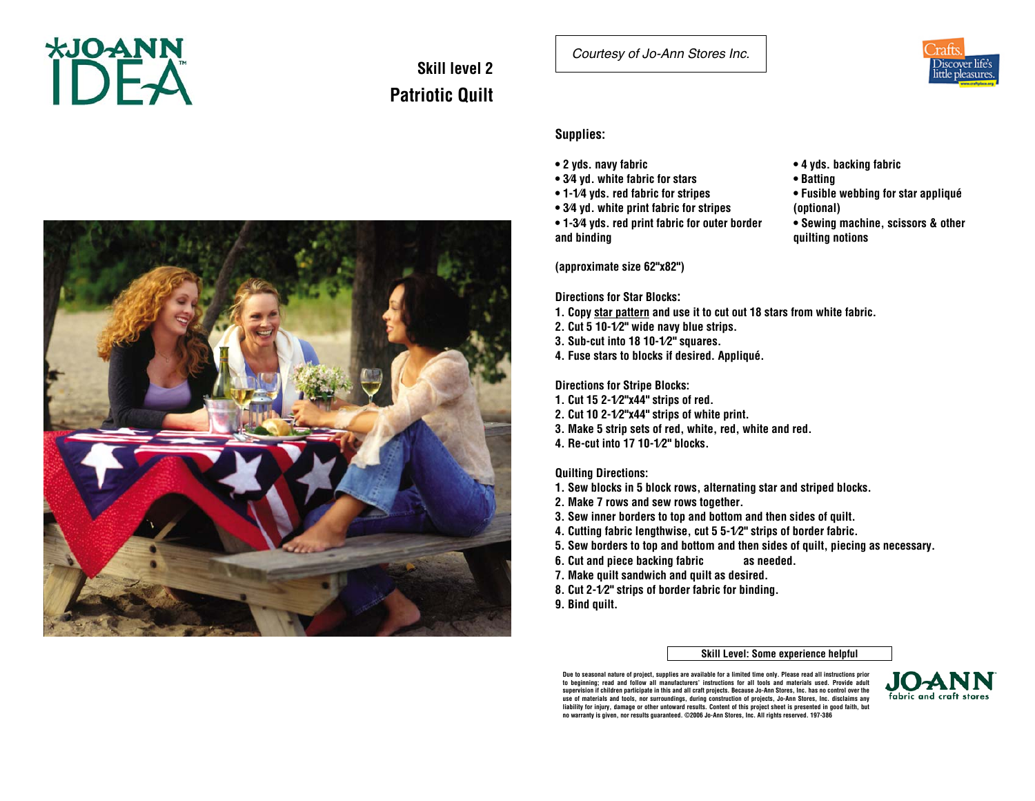# **XJOANN**

# **Skill level 2 Patriotic Quilt**



*Courtesy of Jo-Ann Stores Inc.* 

## Discover life's little pleasures

**• 4 yds. backing fabric** 

**• Fusible webbing for star appliqué** 

**• Sewing machine, scissors & other** 

**• Batting** 

**(optional)** 

**quilting notions** 

## **Supplies:**

- **2 yds. navy fabric**
- **3⁄4 yd. white fabric for stars**
- **1-1⁄4 yds. red fabric for stripes**
- **3⁄4 yd. white print fabric for stripes**

**• 1-3⁄4 yds. red print fabric for outer border and binding** 

**(approximate size 62"x82")** 

- **Directions for Star Blocks:**
- **1. Copy star pattern and use it to cut out 18 stars from white fabric.**
- **2. Cut 5 10-1⁄2" wide navy blue strips.**
- **3. Sub-cut into 18 10-1⁄2" squares.**
- **4. Fuse stars to blocks if desired. Appliqué.**

### **Directions for Stripe Blocks:**

- **1. Cut 15 2-1⁄2"x44" strips of red.**
- **2. Cut 10 2-1⁄2"x44" strips of white print.**
- **3. Make 5 strip sets of red, white, red, white and red.**
- **4. Re-cut into 17 10-1⁄2" blocks.**

#### **Quilting Directions:**

- **1. Sew blocks in 5 block rows, alternating star and striped blocks.**
- **2. Make 7 rows and sew rows together.**
- **3. Sew inner borders to top and bottom and then sides of quilt.**
- **4. Cutting fabric lengthwise, cut 5 5-1⁄2" strips of border fabric.**
- **5. Sew borders to top and bottom and then sides of quilt, piecing as necessary.**
- **6. Cut and piece backing fabric as needed.**
- **7. Make quilt sandwich and quilt as desired.**
- **8. Cut 2-1⁄2" strips of border fabric for binding.**
- **9. Bind quilt.**

**Skill Level: Some experience helpful** 

**Due to seasonal nature of project, supplies are available for a limited time only. Please read all instructions prior to beginning; read and follow all manufacturers' instructions for all tools and materials used. Provide adult supervision if children participate in this and all craft projects. Because Jo-Ann Stores, Inc. has no control over the use of materials and tools, nor surroundings, during construction of projects, Jo-Ann Stores, Inc. disclaims any liability for injury, damage or other untoward results. Content of this project sheet is presented in good faith, but no warranty is given, nor results guaranteed. ©2006 Jo-Ann Stores, Inc. All right reserved. 197-386 s**